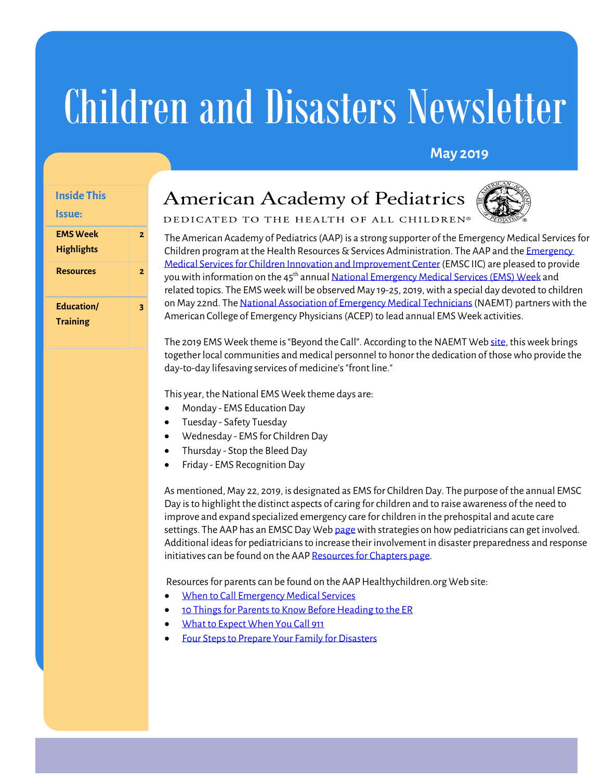# Children and Disasters Newsletter

# **May 2019**

# **Inside This**

#### **Issue:**

| <b>EMS Week</b><br><b>Highlights</b> | 7 |
|--------------------------------------|---|
| <b>Resources</b>                     | 2 |
| Education/<br><b>Training</b>        |   |

# **American Academy of Pediatrics**



DEDICATED TO THE HEALTH OF ALL CHILDREN®

The American Academy of Pediatrics (AAP) is a strong supporter of the Emergency Medical Services for Children program at the Health Resources & Services Administration. The AAP and the Emergency [Medical Services for Children Innovation and Improvement Center](https://emscimprovement.center/) (EMSC IIC) are pleased to provide you with information on the 45<sup>th</sup> annua[l National Emergency Medical Services \(EMS\) Week](https://www.naemt.org/initiatives/ems-week) and related topics. The EMS week will be observed May 19-25, 2019, with a special day devoted to children on May 22nd. Th[e National Association of Emergency Medical Technicians\(](http://www.naemt.org/)NAEMT) partners with the American College of Emergency Physicians (ACEP) to lead annual EMS Week activities.

The 2019 EMS Week theme is "Beyond the Call". According to the NAEMT We[b site,](http://www.naemt.org/initiatives/ems-week) this week brings together local communities and medical personnel to honor the dedication of those who provide the day-to-day lifesaving services of medicine's "front line."

This year, the National EMS Week theme days are:

- Monday EMS Education Day
- Tuesday Safety Tuesday
- Wednesday EMS for Children Day
- Thursday Stop the Bleed Day
- Friday EMS Recognition Day

As mentioned, May 22, 2019, is designated as EMS for Children Day. The purpose of the annual EMSC Day is to highlight the distinct aspects of caring for children and to raise awareness of the need to improve and expand specialized emergency care for children in the prehospital and acute care settings. The AAP has an EMSC Day We[b page](https://www.aap.org/en-us/advocacy-and-policy/aap-health-initiatives/Children-and-Disasters/Pages/Emergency-Medical-Services-for-Children-Day.aspx) with strategies on how pediatricians can get involved. Additional ideas for pediatricians to increase their involvement in disaster preparedness and response initiatives can be found on the AA[P Resources for Chapters page.](https://www.aap.org/en-us/advocacy-and-policy/aap-health-initiatives/Children-and-Disasters/Pages/Resources-for-Chapters.aspx)

Resources for parents can be found on the AAP Healthychildren.org Web site:

- [When to Call Emergency Medical Services](https://www.healthychildren.org/English/health-issues/injuries-emergencies/Pages/When-to-Call-Emergency-Medical-Services-EMS.aspx)
- [10 Things for Parents to Know Before Heading to the ER](https://www.healthychildren.org/English/health-issues/injuries-emergencies/Pages/10-Things-for-Parents-to-Know-Before-Heading-to-the-ER.aspx)
- [What to Expect When You Call 911](https://www.healthychildren.org/English/health-issues/injuries-emergencies/Pages/Calling-911-How-and-When-to-Call-for-Help.aspx)
- [Four Steps to Prepare Your Family for Disasters](https://patiented.solutions.aap.org/handout.aspx?gbosid=166214)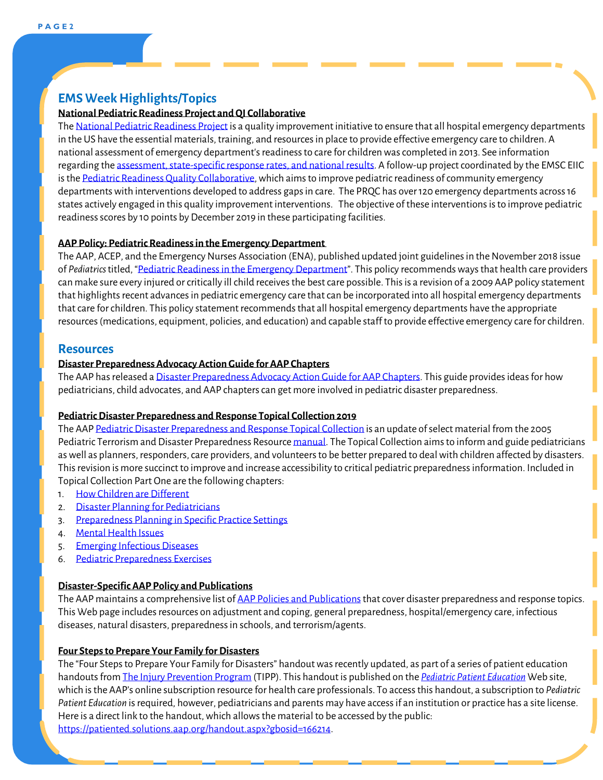# **EMS Week Highlights/Topics**

## **National Pediatric Readiness Project and QI Collaborative**

Th[e National Pediatric Readiness Project](https://www.pedsready.org/) is a quality improvement initiative to ensure that all hospital emergency departments in the US have the essential materials, training, and resources in place to provide effective emergency care to children. A national assessment of emergency department's readiness to care for children was completed in 2013. See information regarding th[e assessment, state-specific response rates, and national results.](https://tableau.utahdcc.org/t/nedarc/views/2013-14NationalResultsPublic_0/NationalPediatricReadinessProject?:embed=y&:display_spinner=no&:showShareOptions=true&:loadOrderID=0&:display_count=no&:showVizHome=no) A follow-up project coordinated by the EMSC EIIC is th[e Pediatric Readiness Quality Collaborative,](https://emscimprovement.center/collaboratives/PRQuality-collaborative/) which aims to improve pediatric readiness of community emergency departments with interventions developed to address gaps in care. The PRQC has over 120 emergency departments across 16 states actively engaged in this quality improvement interventions. The objective of these interventions is to improve pediatric readiness scores by 10 points by December 2019 in these participating facilities.

#### **AAP Policy: Pediatric Readiness in the EmergencyDepartment**

The AAP, ACEP, and the Emergency Nurses Association (ENA), published updated joint guidelines in the November 2018 issue of *Pediatrics* titled, ["Pediatric Readiness in the Emergency Department"](https://pediatrics.aappublications.org/content/pediatrics/142/5/e20182459.full.pdf). This policy recommends ways that health care providers can make sure every injured or critically ill child receives the best care possible. This is a revision of a 2009 AAP policy statement that highlights recent advances in pediatric emergency care that can be incorporated into all hospital emergency departments that care for children. This policy statement recommends that all hospital emergency departments have the appropriate resources (medications, equipment, policies, and education) and capable staff to provide effective emergency care for children.

#### **Resources**

#### **Disaster Preparedness Advocacy Action Guide for AAP Chapters**

The AAP has released [a Disaster Preparedness Advocacy Action Guide for AAP Chapters.](https://www.aap.org/en-us/advocacy-and-policy/state-advocacy/Documents/DisasterPreparednessChapterAdvocacyActionGuide.pdf) This guide provides ideas for how pediatricians, child advocates, and AAP chapters can get more involved in pediatric disaster preparedness.

#### **Pediatric Disaster Preparedness and Response Topical Collection 2019**

The AA[P Pediatric Disaster Preparedness and Response Topical Collection](https://www.aap.org/en-us/advocacy-and-policy/aap-health-initiatives/Children-and-Disasters/Pages/Pediatric-Terrorism-And-Disaster-Preparedness-Resource.aspx) is an update of select material from the 2005 Pediatric Terrorism and Disaster Preparedness Resource <u>manual</u>. The Topical Collection aims to inform and guide pediatricians as well as planners, responders, care providers, and volunteers to be better prepared to deal with children affected by disasters. This revision is more succinct to improve and increase accessibility to critical pediatric preparedness information. Included in Topical Collection Part One are the following chapters:

- 1. [How Children are Different](https://downloads.aap.org/DOCHW/Topical-Collection-Chapter-1.pdf)
- 2. [Disaster Planning for Pediatricians](https://downloads.aap.org/DOCHW/Topical-Collection-Chapter-2.pdf)
- 3. [Preparedness Planning in Specific Practice Settings](https://downloads.aap.org/DOCHW/Topical-Collection-Chapter-3.pdf)
- 4. [Mental Health Issues](https://downloads.aap.org/DOCHW/Topical-Collection-Chapter-4.pdf)
- 5. [Emerging Infectious Diseases](https://downloads.aap.org/DOCHW/Topical-Collection-Chapter-5.pdf)
- 6. [Pediatric Preparedness Exercises](https://downloads.aap.org/DOCHW/Topical-Collection-Chapter-6.pdf)

#### **Disaster-Specific AAP Policy and Publications**

The AAP maintains a comprehensive list of AAP Policies and Publications that cover disaster preparedness and response topics. This Web page includes resources on adjustment and coping, general preparedness, hospital/emergency care, infectious diseases, natural disasters, preparedness in schools, and terrorism/agents.

#### **Four Steps to Prepare Your Family for Disasters**

The "Four Steps to Prepare Your Family for Disasters" handoutwas recently updated, as part of a series of patient education handouts fro[m The Injury Prevention Program](https://patiented.solutions.aap.org/handout-collection.aspx?categoryid=32033) (TIPP). This handout is published on the *[Pediatric Patient Education](https://patiented.solutions.aap.org/)* Web site, which is the AAP's online subscription resource for health care professionals. To access this handout, a subscription to *Pediatric Patient Education* is required, however, pediatricians and parents may have access if an institution or practice has a site license. Here is a direct link to the handout, which allows the material to be accessed by the public: [https://patiented.solutions.aap.org/handout.aspx?gbosid=166214.](https://patiented.solutions.aap.org/handout.aspx?gbosid=166214)